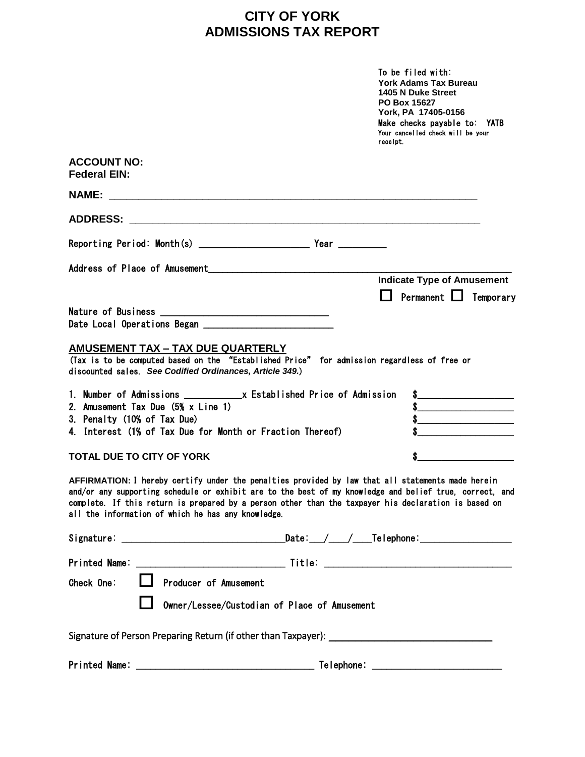## **CITY OF YORK ADMISSIONS TAX REPORT**

|                                                                                                                                                                                                                                                                                                                                                                            | To be filed with:<br><b>York Adams Tax Bureau</b><br>1405 N Duke Street<br>PO Box 15627<br>York, PA 17405-0156<br>Make checks payable to: YATB<br>Your cancelled check will be your<br>receipt. |
|----------------------------------------------------------------------------------------------------------------------------------------------------------------------------------------------------------------------------------------------------------------------------------------------------------------------------------------------------------------------------|-------------------------------------------------------------------------------------------------------------------------------------------------------------------------------------------------|
| <b>ACCOUNT NO:</b><br><b>Federal EIN:</b>                                                                                                                                                                                                                                                                                                                                  |                                                                                                                                                                                                 |
| <b>NAME:</b>                                                                                                                                                                                                                                                                                                                                                               |                                                                                                                                                                                                 |
|                                                                                                                                                                                                                                                                                                                                                                            |                                                                                                                                                                                                 |
|                                                                                                                                                                                                                                                                                                                                                                            |                                                                                                                                                                                                 |
| Address of Place of Amusement                                                                                                                                                                                                                                                                                                                                              | <b>Indicate Type of Amusement</b>                                                                                                                                                               |
|                                                                                                                                                                                                                                                                                                                                                                            | Permanent $\Box$<br>Temporary                                                                                                                                                                   |
|                                                                                                                                                                                                                                                                                                                                                                            |                                                                                                                                                                                                 |
| <b>AMUSEMENT TAX - TAX DUE QUARTERLY</b><br>(Tax is to be computed based on the "Established Price" for admission regardless of free or<br>discounted sales. See Codified Ordinances, Article 349.)                                                                                                                                                                        |                                                                                                                                                                                                 |
| 2. Amusement Tax Due (5% x Line 1)<br>3. Penalty (10% of Tax Due)                                                                                                                                                                                                                                                                                                          | $\sim$<br>$\sim$<br>$\sim$                                                                                                                                                                      |
| 4. Interest (1% of Tax Due for Month or Fraction Thereof)                                                                                                                                                                                                                                                                                                                  |                                                                                                                                                                                                 |
| <b>TOTAL DUE TO CITY OF YORK</b>                                                                                                                                                                                                                                                                                                                                           |                                                                                                                                                                                                 |
| AFFIRMATION: I hereby certify under the penalties provided by law that all statements made herein<br>and/or any supporting schedule or exhibit are to the best of my knowledge and belief true, correct, and<br>complete. If this return is prepared by a person other than the taxpayer his declaration is based on<br>all the information of which he has any knowledge. |                                                                                                                                                                                                 |
|                                                                                                                                                                                                                                                                                                                                                                            |                                                                                                                                                                                                 |
|                                                                                                                                                                                                                                                                                                                                                                            |                                                                                                                                                                                                 |
| Producer of Amusement<br>Check One:                                                                                                                                                                                                                                                                                                                                        |                                                                                                                                                                                                 |
| Owner/Lessee/Custodian of Place of Amusement                                                                                                                                                                                                                                                                                                                               |                                                                                                                                                                                                 |
|                                                                                                                                                                                                                                                                                                                                                                            |                                                                                                                                                                                                 |
|                                                                                                                                                                                                                                                                                                                                                                            |                                                                                                                                                                                                 |